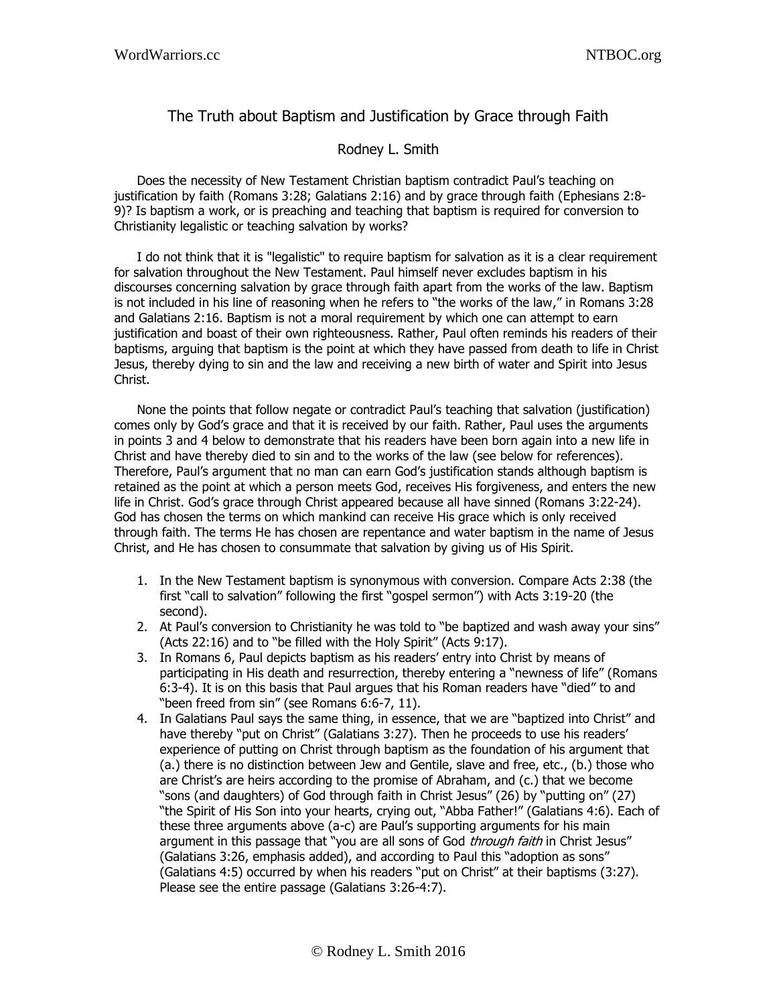## The Truth about Baptism and Justification by Grace through Faith

## Rodney L. Smith

Does the necessity of New Testament Christian baptism contradict Paul's teaching on justification by faith (Romans 3:28; Galatians 2:16) and by grace through faith (Ephesians 2:8- 9)? Is baptism a work, or is preaching and teaching that baptism is required for conversion to Christianity legalistic or teaching salvation by works?

I do not think that it is "legalistic" to require baptism for salvation as it is a clear requirement for salvation throughout the New Testament. Paul himself never excludes baptism in his discourses concerning salvation by grace through faith apart from the works of the law. Baptism is not included in his line of reasoning when he refers to "the works of the law," in Romans 3:28 and Galatians 2:16. Baptism is not a moral requirement by which one can attempt to earn justification and boast of their own righteousness. Rather, Paul often reminds his readers of their baptisms, arguing that baptism is the point at which they have passed from death to life in Christ Jesus, thereby dying to sin and the law and receiving a new birth of water and Spirit into Jesus Christ.

None the points that follow negate or contradict Paul's teaching that salvation (justification) comes only by God's grace and that it is received by our faith. Rather, Paul uses the arguments in points 3 and 4 below to demonstrate that his readers have been born again into a new life in Christ and have thereby died to sin and to the works of the law (see below for references). Therefore, Paul's argument that no man can earn God's justification stands although baptism is retained as the point at which a person meets God, receives His forgiveness, and enters the new life in Christ. God's grace through Christ appeared because all have sinned (Romans 3:22-24). God has chosen the terms on which mankind can receive His grace which is only received through faith. The terms He has chosen are repentance and water baptism in the name of Jesus Christ, and He has chosen to consummate that salvation by giving us of His Spirit.

- 1. In the New Testament baptism is synonymous with conversion. Compare Acts 2:38 (the first "call to salvation" following the first "gospel sermon") with Acts 3:19-20 (the second).
- 2. At Paul's conversion to Christianity he was told to "be baptized and wash away your sins" (Acts 22:16) and to "be filled with the Holy Spirit" (Acts 9:17).
- 3. In Romans 6, Paul depicts baptism as his readers' entry into Christ by means of participating in His death and resurrection, thereby entering a "newness of life" (Romans 6:3-4). It is on this basis that Paul argues that his Roman readers have "died" to and "been freed from sin" (see Romans 6:6-7, 11).
- 4. In Galatians Paul says the same thing, in essence, that we are "baptized into Christ" and have thereby "put on Christ" (Galatians 3:27). Then he proceeds to use his readers' experience of putting on Christ through baptism as the foundation of his argument that (a.) there is no distinction between Jew and Gentile, slave and free, etc., (b.) those who are Christ's are heirs according to the promise of Abraham, and (c.) that we become "sons (and daughters) of God through faith in Christ Jesus" (26) by "putting on" (27) "the Spirit of His Son into your hearts, crying out, "Abba Father!" (Galatians 4:6). Each of these three arguments above (a-c) are Paul's supporting arguments for his main argument in this passage that "you are all sons of God *through faith* in Christ Jesus" (Galatians 3:26, emphasis added), and according to Paul this "adoption as sons" (Galatians 4:5) occurred by when his readers "put on Christ" at their baptisms (3:27). Please see the entire passage (Galatians 3:26-4:7).